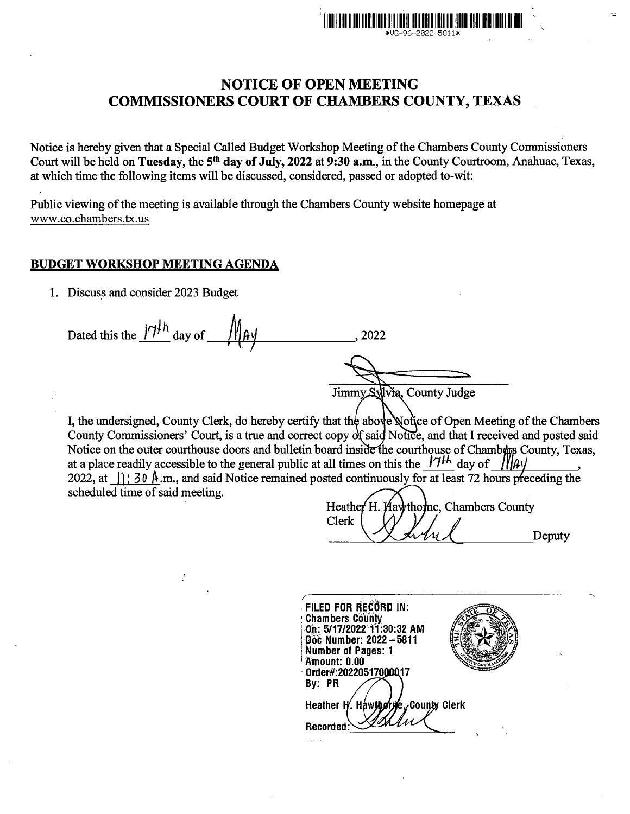

Notice is hereby given that a Special Called Budget Workshop Meeting of the Chambers County Commissioners Court will be held on Tuesday, the 5<sup>th</sup> day of July, 2022 at 9:30 a.m., in the County Courtroom, Anahuac, Texas, at which time the following items will be discussed, considered, passed or adopted to-wit:

Public viewing of the meeting is available through the Chambers County website homepage at www.co.chambers.tx.us

### BUDGET WORKSHOP MEETING AGENDA

1. Discuss and consider 2023 Budget

Dated this the  $|\mathcal{V}|^{1/h}$  day of  $\mathcal{W}$ A $\mathcal{V}$ Jimmy Sylvia, County Judge

I, the undersigned, County Clerk, do hereby certify that the above Notice of Open Meeting of the Chambers County Commissioners' Court, is a true and correct copy of said Notice, and that I received and posted said Notice on the outer courthouse doors and bulletin board inside the courthouse of Chambars County, Texas, at a place readily accessible to the general public at all times on this the  $17<sup>11</sup>$  day of 2022, at  $\int_1^2$  30 A.m., and said Notice remained posted continuously for at least 72 hours preceding the scheduled time of said meeting.

**Heather** Hay thome, Chambers County Clerk Deputy

. •' FILED FOR RECORD IN:<br>Chambers County<br>.On: 5/17/2022 11:30:32 AM Doc Number: 2022 - 5811 Number of Pages: 1<br>Amount: 0.00 0rder#: 20220517000017 By: PR Hawthorne, County Clerk Heather H. **Recorded**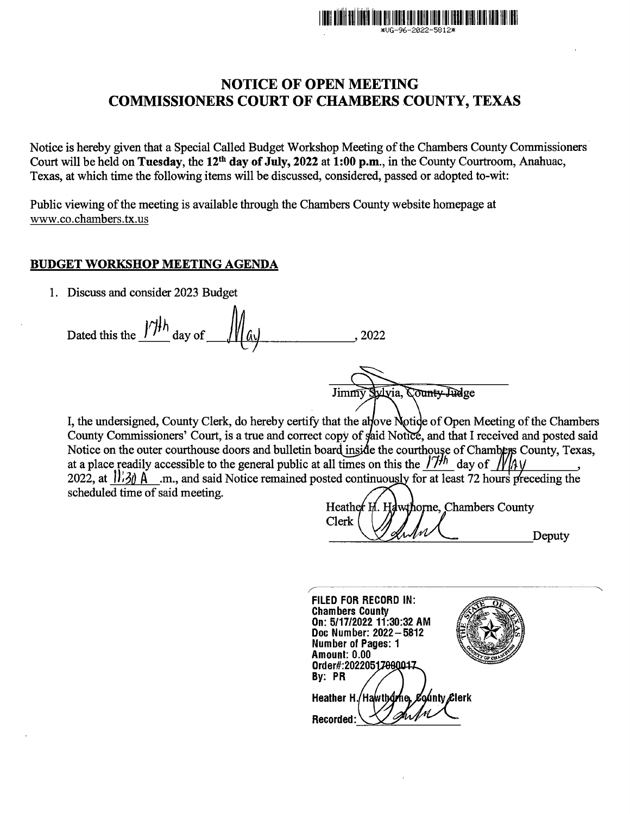

Notice is hereby given that a Special Called Budget Workshop Meeting of the Chambers County Commissioners Court will be held on Tuesday, the 12th day of July, 2022 at 1:00 p.m., in the County Courtroom, Anahuac, Texas, at which time the following items will be discussed, considered, passed or adopted to-wit:

Public viewing of the meeting is available through the Chambers County website homepage at www.co.chambers.tx.us

### BUDGET WORKSHOP MEETING AGENDA

1. Discuss and consider 2023 Budget

Dated this the  $\frac{1}{7}$ <sup>th</sup> day of  $\frac{1}{4}$   $\frac{1}{4}$  . 2022

Vyvia, County Judge Jimmy

I, the undersigned, County Clerk, do hereby certify that the above Notice of Open Meeting of the Chambers County Commissioners' Court, is a true and correct copy of said Notice, and that I received and posted said Notice on the outer courthouse doors and bulletin board inside the courthouse of Chambers County, Texas, at a place readily accessible to the general public at all times on this the  $/7$ <sup>th</sup> day of  $/$ 2022, at  $\frac{1}{30}$  A .m., and said Notice remained posted continuously for at least 72 hours preceding the scheduled time of said meeting.

dwthorne, Chambers County Heather Clerk Deputy

FILED FOR RECORD IN: Chambers County On: 5/17/2022 11:30:32 AM Doc Number: 2022 - 5812 Number of Pages: 1 Amount: 0.00 Order#:20220517000017 By: PR Heather H./Hawthdme, County Clerk Recorded: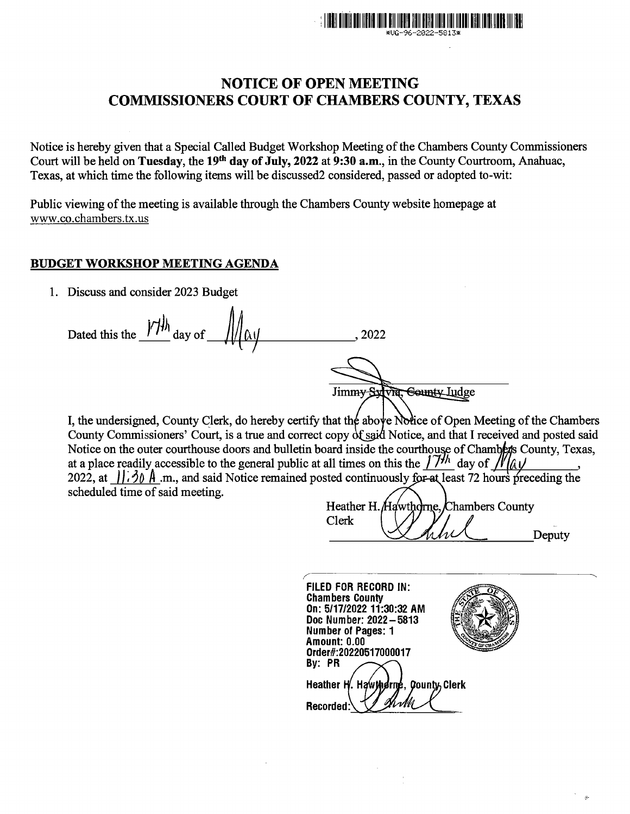

Notice is hereby given that a Special Called Budget Workshop Meeting of the Chambers County Commissioners Court will be held on **Tuesday,** the **19th day of July, 2022 at 9:30 a.m.,** in the County Courtroom, Anahuac, Texas, at which time the following items will be discussed2 considered, passed or adopted to-wit:

Public viewing of the meeting is available through the Chambers County website homepage at www.co.chambers.tx.us

## **BUDGET WORKSHOP MEETING AGENDA**

1. Discuss and consider 2023 Budget

Dated this the  $\frac{|\mathcal{V}|}{\mathcal{V}}$  day of  $\frac{|\mathcal{V}|}{\mathcal{V}}$   $\mathcal{V}$   $\mathcal{V}$   $\mathcal{V}$   $\mathcal{V}$   $\mathcal{V}$   $\mathcal{V}$   $\mathcal{V}$   $\mathcal{V}$   $\mathcal{V}$   $\mathcal{V}$   $\mathcal{V}$   $\mathcal{V}$   $\mathcal{V}$   $\mathcal{V}$   $\mathcal{V}$   $\mathcal{V}$   $\mathcal{V}$   $\mathcal{V}$ 

Jimmy Sylvia, County Judge

I, the undersigned, County Clerk, do hereby certify that the above Notice of Open Meeting of the Chambers County Commissioners' Court, is a true and correct copy of said Notice, and that I received and posted said Notice on the outer courthouse doors and bulletin board inside the courthouse of Chambers County, Texas, at a place readily accessible to the general public at all times on this the  $\int \frac{\partial^2 u}{\partial x}$  day of  $\int \frac{\partial u}{\partial x}$ . at a place readily accessible to the general public at all times on this the  $17^{1/h}$  day of  $\sqrt{1}$ 2022, at  $\int \int \hat{\theta} \hat{\theta} \hat{\theta}$  *m.*, and said Notice remained posted continuously for at least 72 hours preceding the scheduled time of said meeting.

Heather H. Hawthorne. Chambers County Clerk Deputy

**FILED FOR RECORD** IN: **Chambers County On: 5/17/2022 11:30:32 AM Doc Number: 2022-5813 Number of Pages: 1 Amount: 0.00 Order#:20220517000017 By: PR County Clerk Heather H** /. Hawtherm **Recorded**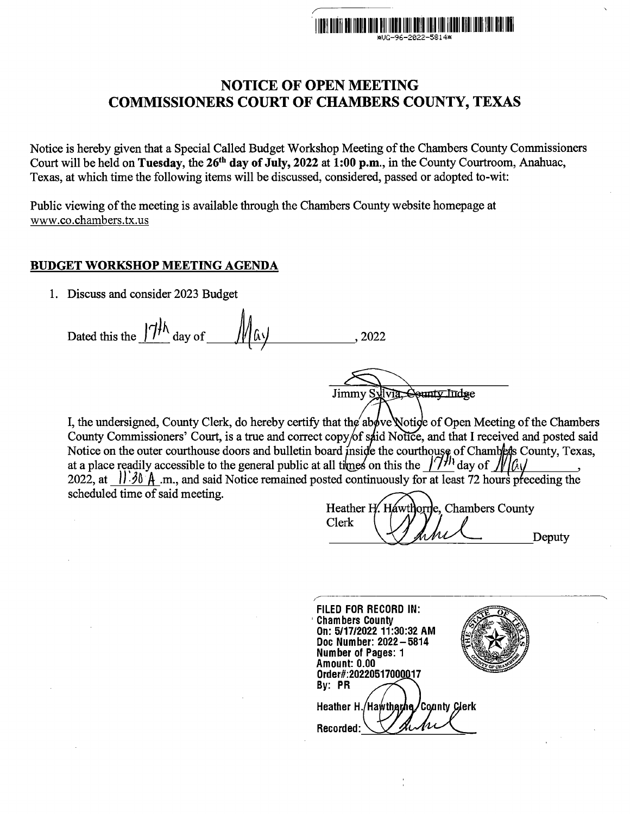

Notice is hereby given that a Special Called Budget Workshop Meeting of the Chambers County Commissioners Court will be held on Tuesday, the 26<sup>th</sup> day of July, 2022 at 1:00 p.m., in the County Courtroom, Anahuac, Texas, at which time the following items will be discussed, considered, passed or adopted to-wit:

Public viewing of the meeting is available through the Chambers County website homepage at www.co.chambers.tx.us

### BUDGET WORKSHOP MEETING AGENDA

1. Discuss and consider 2023 Budget

Dated this the  $1/1\,h$  day of  $\frac{1}{\sqrt{4\pi}}$  day of  $\frac{1}{\sqrt{4\pi}}$ , 2022

Jimmy Sylvia, County Indse

I, the undersigned, County Clerk, do hereby certify that the above Notice of Open Meeting of the Chambers County Commissioners' Court, is a true and correct copy/of said Notice, and that I received and posted said Notice on the outer courthouse doors and bulletin board inside the courthouse of Chambers County, Texas, at a place readily accessible to the general public at all times on this the  $\int$ 7<sup>*H*</sup> day of *JV*  $\int$ *A* $\sqrt$ 2022, at  $\left| \right|$  30  $\hat{A}$  .m., and said Notice remained posted continuously for at least 72 hours preceding the scheduled time of said meeting.

Heather H awthorne, Chambers County Clerk Deputy

FILED FOR RECORD IN: ' Chambers County On: 5/17/2022 11:30:32 AM Doc Number: 2022-5814 Number of Pages: 1 Amount: 0.00 Order#:20220517000 17 By: PR County Clerk Heather H./Hawtharhe Recorded: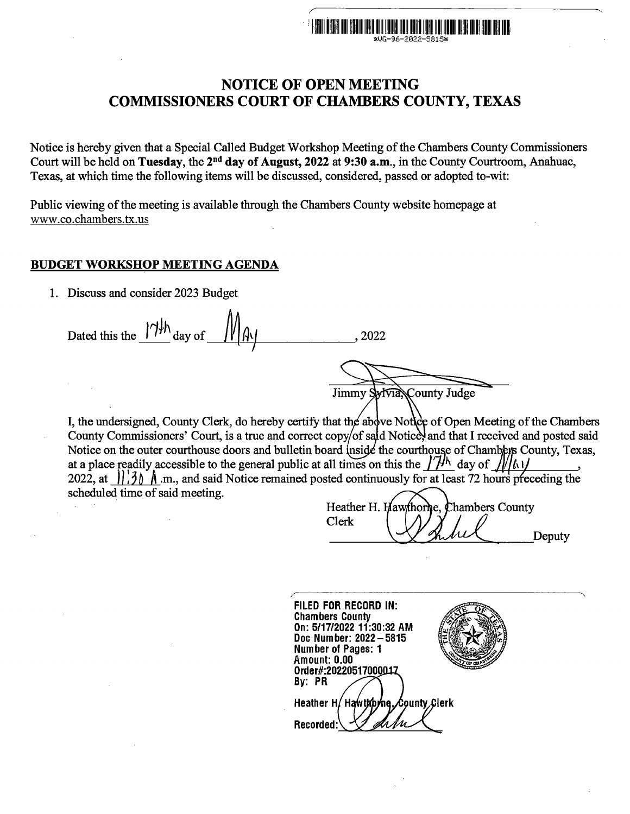

Notice is hereby given that a Special Called Budget Workshop Meeting of the Chambers County Commissioners Court will be held on Tuesday, the 2<sup>nd</sup> day of August, 2022 at 9:30 a.m., in the County Courtroom, Anahuac, Texas, at which time the following items will be discussed, considered, passed or adopted to-wit:

Public viewing of the meeting is available through the Chambers County website homepage at www.co.chambers.tx.us

#### BUDGET WORKSHOP MEETING AGENDA

1. Discuss and consider 2023 Budget

Dated this the  $1/1/h$  day of  $1/1/h$  . 2022  $\mathcal{T}$ 

Jimmy Sylvia County Judge

I, the undersigned, County Clerk, do hereby certify that the above Notice of Open Meeting of the Chambers County Commissioners' Court, is a true and correct copy/of said Notice, and that I received and posted said Notice on the outer courthouse doors and bulletin board inside the courthouse of Chambiers County, Texas, at a place readily accessible to the general public at all times on this the  $\frac{1}{1/h}$  day of  $\frac{1}{16}$ 2022, at  $\int_0^2$  *A* .m., and said Notice remained posted continuously for at least 72 hours preceding the scheduled time of said meeting.

Heather H. Hawthorne. **Chambers County** Clerk Deputy

FILED FOR RECORD IN: Chambers County On: 5/17/2022 11:30:32 AM Doc Number: 2022-5815 Number of Pages: 1 Amount: 0.00 Order#:20220517000 By: PR Heather H/ Hawthorne. County Clerk Recorded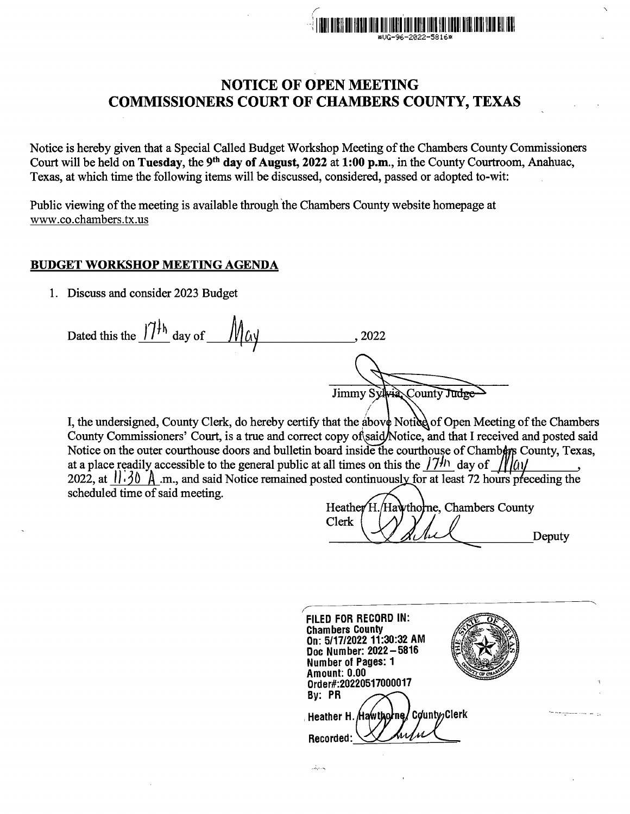

Notice is hereby given that a Special Called Budget Workshop Meeting of the Chambers County Commissioners Court will be held on Tuesday, the 9<sup>th</sup> day of August, 2022 at 1:00 p.m., in the County Courtroom, Anahuac, Texas, at which time the following items will be discussed, considered, passed or adopted to-wit:

Public viewing of the meeting is available through the Chambers County website homepage at www.co.chambers.tx.us

### BUDGET WORKSHOP MEETING AGENDA

1. Discuss and consider 2023 Budget

Dated this the  $77^{14}$  day of  $M_{\text{d}}/$ Jimmy Sylvia County Judge I

I, the undersigned, County Clerk, do hereby certify that the above Notice of Open Meeting of the Chambers County Commissioners' Court, is a true and correct copy of said/Notice, and that I received and posted said Notice on the outer courthouse doors and bulletin board inside the courthouse of Chambers County, Texas, at a place readily accessible to the general public at all times on this the  $/7$ <sup>th</sup> day of  $/10$ 2022, at  $\frac{1}{30}$   $\uparrow$   $\uparrow$   $\uparrow$   $\uparrow$   $\uparrow$  and said Notice remained posted continuously for at least 72 hours preceding the scheduled time of said meeting.

يدرك

**Heather** Hawthorne, Chambers County Clerk Deputy

FILED FOR RECORD IN: Chambers County On: 5/17/2022 11:30:32 AM Doc Number: 2022-5816 Number of Pages: 1 Amount: 0.00 Order#:20220517000017 By: PR CountwClerk Heather H. Hawthorne, Recorded: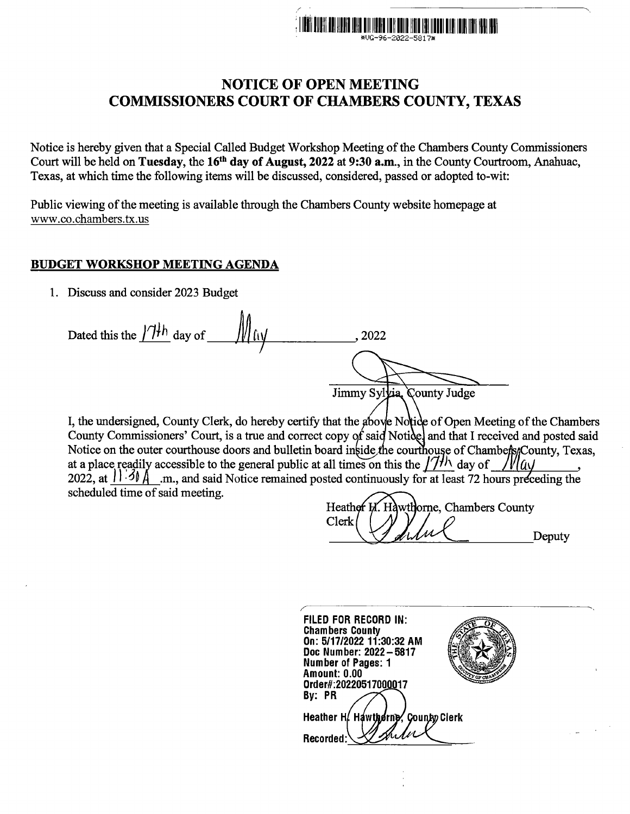

Notice is hereby given that a Special Called Budget Workshop Meeting of the Chambers County Commissioners Court will be held on Tuesday, the 16<sup>th</sup> day of August, 2022 at 9:30 a.m., in the County Courtroom, Anahuac, Texas, at which time the following items will be discussed, considered, passed or adopted to-wit:

Public viewing of the meeting is available through the Chambers County website homepage at www .co.chambers. tx.us

## BUDGET WORKSHOP MEETING AGENDA

1. Discuss and consider 2023 Budget

Dated this the  $1/\sqrt{1+h}$  day of  $\frac{1}{\sqrt{1+h}}$  (iv Jimmy Sylvia, County Judge

I, the undersigned, County Clerk, do hereby certify that the above Notice of Open Meeting of the Chambers County Commissioners' Court, is a true and correct copy of said Notice and that I received and posted said Notice on the outer courthouse doors and bulletin board inside the courthouse of Chambers County, Texas, at a place readily accessible to the general public at all times on this the  $/7$ <sup>*h*</sup> day of 2022, at  $11.30 \text{ Å}$  .m., and said Notice remained posted continuously for at least 72 hours preceding the scheduled time of said meeting.

wthorne. Chambers County Heather I Clerk Deputy

FILED FOR RECORD IN: Chambers County On: 5/17/2022 11:30:32 AM Doc Number: 2022-5817 Number of Pages: 1 Amount: 0.00 Order#:20220517000017 By: PR Heather H. Hawthorne, County Clerk Recorded: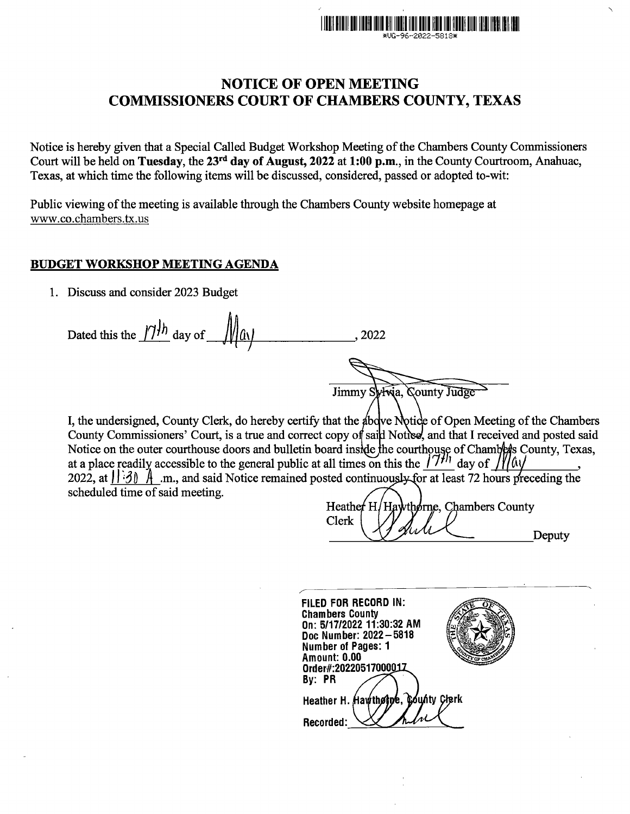

Notice is hereby given that a Special Called Budget Workshop Meeting of the Chambers County Commissioners Court will be held on Tuesday, the 23rd day of August, 2022 at 1:00 p.m., in the County Courtroom, Anahuac, Texas, at which time the following items will be discussed, considered, passed or adopted to-wit:

Public viewing of the meeting is available through the Chambers County website homepage at www.co.chambers.tx.us

## BUDGET WORKSHOP MEETING AGENDA

1. Discuss and consider 2023 Budget

Dated this the  $\frac{1}{1+h}$  day of  $\frac{1}{1+h}$  (1)

Jimmy Sylvia, County Judge

I, the undersigned, County Clerk, do hereby certify that the above Notice of Open Meeting of the Chambers County Commissioners' Court, is a true and correct copy of said Notice, and that I received and posted said Notice on the outer courthouse doors and bulletin board inside the courthouse of Chambers County, Texas, at a place readily accessible to the general public at all times on this the  $\frac{171h}{1}$  day of  $\frac{1}{20}$   $\frac{1}{2}$ . 2022, at  $\frac{1}{30}$   $\frac{1}{2}$  .m., and said Notice remained posted continuously for at least 72 hours scheduled time of said meeting.

Heather<sup>H</sup>. Hawthorne, Chambers County Clerk Deputy

| FILED FOR RECORD IN:<br><b>Chambers County</b><br>On: 5/17/2022 11:30:32 AM<br>Doc Number: 2022 - 5818 |
|--------------------------------------------------------------------------------------------------------|
| Number of Pages: 1<br><b>Amount: 0.00</b>                                                              |
| Order#:2022051700001Z                                                                                  |
| By: PR                                                                                                 |
| Heather H. Hawtholpe, County Clerk                                                                     |
| Recorded:                                                                                              |